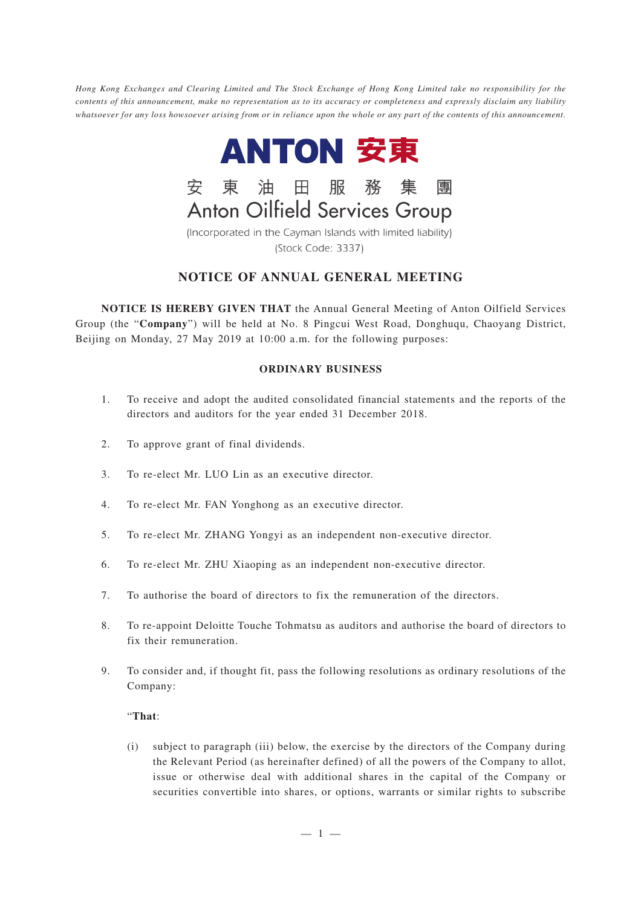*Hong Kong Exchanges and Clearing Limited and The Stock Exchange of Hong Kong Limited take no responsibility for the contents of this announcement, make no representation as to its accuracy or completeness and expressly disclaim any liability whatsoever for any loss howsoever arising from or in reliance upon the whole or any part of the contents of this announcement.*



東油田服務集團 安 **Anton Oilfield Services Group** 

(Incorporated in the Cayman Islands with limited liability) (Stock Code: 3337)

# **NOTICE OF ANNUAL GENERAL MEETING**

**NOTICE IS HEREBY GIVEN THAT** the Annual General Meeting of Anton Oilfield Services Group (the "**Company**") will be held at No. 8 Pingcui West Road, Donghuqu, Chaoyang District, Beijing on Monday, 27 May 2019 at 10:00 a.m. for the following purposes:

## **ORDINARY BUSINESS**

- 1. To receive and adopt the audited consolidated financial statements and the reports of the directors and auditors for the year ended 31 December 2018.
- 2. To approve grant of final dividends.
- 3. To re-elect Mr. LUO Lin as an executive director.
- 4. To re-elect Mr. FAN Yonghong as an executive director.
- 5. To re-elect Mr. ZHANG Yongyi as an independent non-executive director.
- 6. To re-elect Mr. ZHU Xiaoping as an independent non-executive director.
- 7. To authorise the board of directors to fix the remuneration of the directors.
- 8. To re-appoint Deloitte Touche Tohmatsu as auditors and authorise the board of directors to fix their remuneration.
- 9. To consider and, if thought fit, pass the following resolutions as ordinary resolutions of the Company:

### "**That**:

(i) subject to paragraph (iii) below, the exercise by the directors of the Company during the Relevant Period (as hereinafter defined) of all the powers of the Company to allot, issue or otherwise deal with additional shares in the capital of the Company or securities convertible into shares, or options, warrants or similar rights to subscribe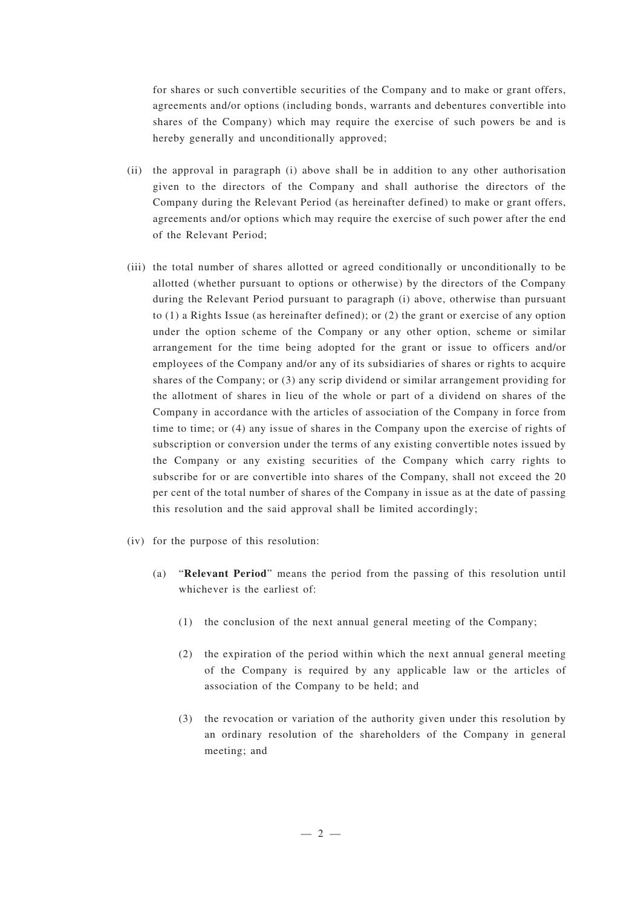for shares or such convertible securities of the Company and to make or grant offers, agreements and/or options (including bonds, warrants and debentures convertible into shares of the Company) which may require the exercise of such powers be and is hereby generally and unconditionally approved;

- (ii) the approval in paragraph (i) above shall be in addition to any other authorisation given to the directors of the Company and shall authorise the directors of the Company during the Relevant Period (as hereinafter defined) to make or grant offers, agreements and/or options which may require the exercise of such power after the end of the Relevant Period;
- (iii) the total number of shares allotted or agreed conditionally or unconditionally to be allotted (whether pursuant to options or otherwise) by the directors of the Company during the Relevant Period pursuant to paragraph (i) above, otherwise than pursuant to (1) a Rights Issue (as hereinafter defined); or (2) the grant or exercise of any option under the option scheme of the Company or any other option, scheme or similar arrangement for the time being adopted for the grant or issue to officers and/or employees of the Company and/or any of its subsidiaries of shares or rights to acquire shares of the Company; or (3) any scrip dividend or similar arrangement providing for the allotment of shares in lieu of the whole or part of a dividend on shares of the Company in accordance with the articles of association of the Company in force from time to time; or (4) any issue of shares in the Company upon the exercise of rights of subscription or conversion under the terms of any existing convertible notes issued by the Company or any existing securities of the Company which carry rights to subscribe for or are convertible into shares of the Company, shall not exceed the 20 per cent of the total number of shares of the Company in issue as at the date of passing this resolution and the said approval shall be limited accordingly;
- (iv) for the purpose of this resolution:
	- (a) "**Relevant Period**" means the period from the passing of this resolution until whichever is the earliest of:
		- (1) the conclusion of the next annual general meeting of the Company;
		- (2) the expiration of the period within which the next annual general meeting of the Company is required by any applicable law or the articles of association of the Company to be held; and
		- (3) the revocation or variation of the authority given under this resolution by an ordinary resolution of the shareholders of the Company in general meeting; and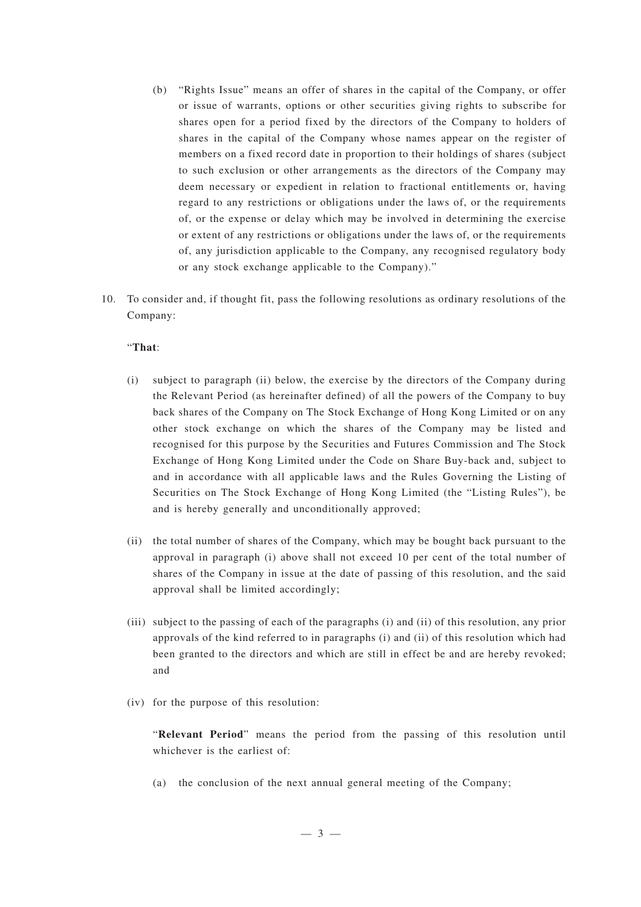- (b) "Rights Issue" means an offer of shares in the capital of the Company, or offer or issue of warrants, options or other securities giving rights to subscribe for shares open for a period fixed by the directors of the Company to holders of shares in the capital of the Company whose names appear on the register of members on a fixed record date in proportion to their holdings of shares (subject to such exclusion or other arrangements as the directors of the Company may deem necessary or expedient in relation to fractional entitlements or, having regard to any restrictions or obligations under the laws of, or the requirements of, or the expense or delay which may be involved in determining the exercise or extent of any restrictions or obligations under the laws of, or the requirements of, any jurisdiction applicable to the Company, any recognised regulatory body or any stock exchange applicable to the Company)."
- 10. To consider and, if thought fit, pass the following resolutions as ordinary resolutions of the Company:

#### "**That**:

- (i) subject to paragraph (ii) below, the exercise by the directors of the Company during the Relevant Period (as hereinafter defined) of all the powers of the Company to buy back shares of the Company on The Stock Exchange of Hong Kong Limited or on any other stock exchange on which the shares of the Company may be listed and recognised for this purpose by the Securities and Futures Commission and The Stock Exchange of Hong Kong Limited under the Code on Share Buy-back and, subject to and in accordance with all applicable laws and the Rules Governing the Listing of Securities on The Stock Exchange of Hong Kong Limited (the "Listing Rules"), be and is hereby generally and unconditionally approved;
- (ii) the total number of shares of the Company, which may be bought back pursuant to the approval in paragraph (i) above shall not exceed 10 per cent of the total number of shares of the Company in issue at the date of passing of this resolution, and the said approval shall be limited accordingly;
- (iii) subject to the passing of each of the paragraphs (i) and (ii) of this resolution, any prior approvals of the kind referred to in paragraphs (i) and (ii) of this resolution which had been granted to the directors and which are still in effect be and are hereby revoked; and
- (iv) for the purpose of this resolution:

"**Relevant Period**" means the period from the passing of this resolution until whichever is the earliest of

(a) the conclusion of the next annual general meeting of the Company;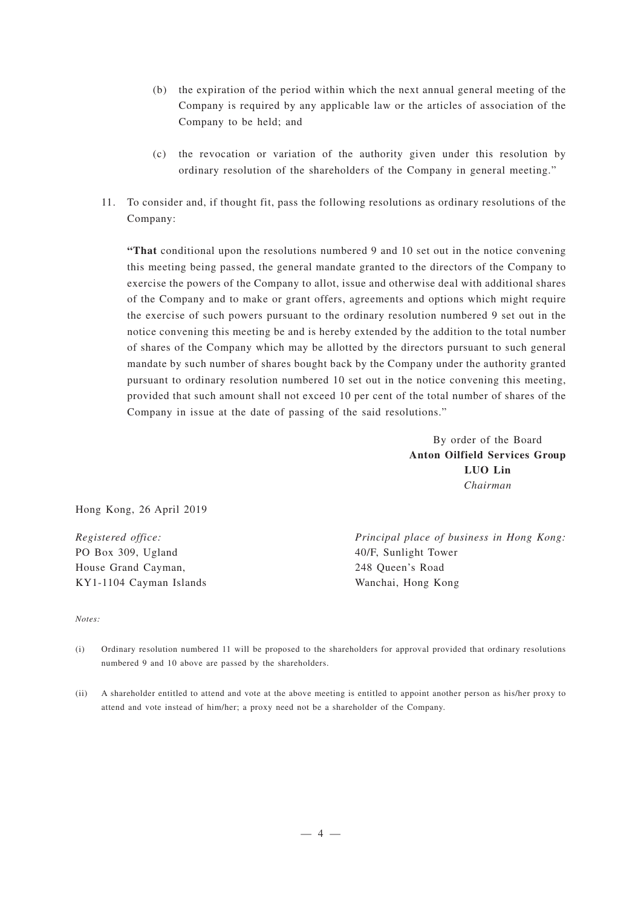- (b) the expiration of the period within which the next annual general meeting of the Company is required by any applicable law or the articles of association of the Company to be held; and
- (c) the revocation or variation of the authority given under this resolution by ordinary resolution of the shareholders of the Company in general meeting."
- 11. To consider and, if thought fit, pass the following resolutions as ordinary resolutions of the Company:

**"That** conditional upon the resolutions numbered 9 and 10 set out in the notice convening this meeting being passed, the general mandate granted to the directors of the Company to exercise the powers of the Company to allot, issue and otherwise deal with additional shares of the Company and to make or grant offers, agreements and options which might require the exercise of such powers pursuant to the ordinary resolution numbered 9 set out in the notice convening this meeting be and is hereby extended by the addition to the total number of shares of the Company which may be allotted by the directors pursuant to such general mandate by such number of shares bought back by the Company under the authority granted pursuant to ordinary resolution numbered 10 set out in the notice convening this meeting, provided that such amount shall not exceed 10 per cent of the total number of shares of the Company in issue at the date of passing of the said resolutions."

> By order of the Board **Anton Oilfield Services Group LUO Lin** *Chairman*

Hong Kong, 26 April 2019

*Registered office:* PO Box 309, Ugland House Grand Cayman, KY1-1104 Cayman Islands *Principal place of business in Hong Kong:* 40/F, Sunlight Tower 248 Queen's Road Wanchai, Hong Kong

#### *Notes:*

- (i) Ordinary resolution numbered 11 will be proposed to the shareholders for approval provided that ordinary resolutions numbered 9 and 10 above are passed by the shareholders.
- (ii) A shareholder entitled to attend and vote at the above meeting is entitled to appoint another person as his/her proxy to attend and vote instead of him/her; a proxy need not be a shareholder of the Company.